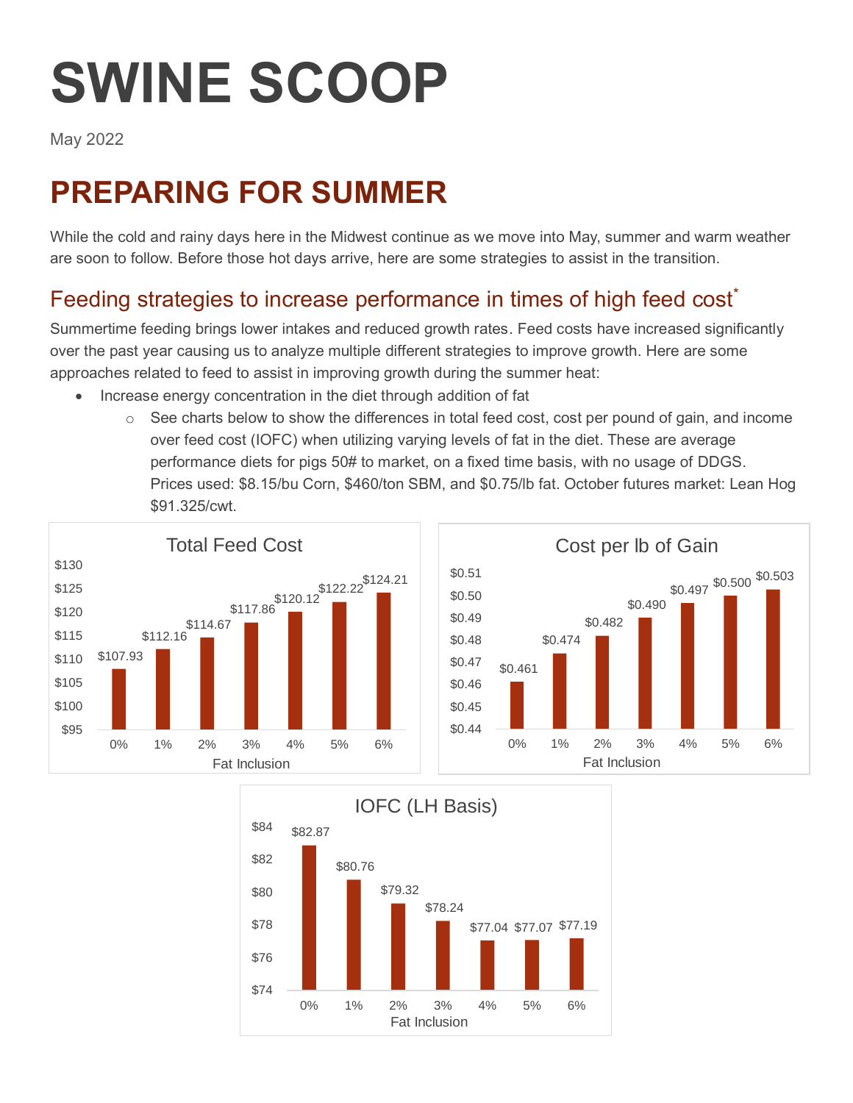# **SWINE SCOOP**

May 2022

## **PREPARING FOR SUMMER**

While the cold and rainy days here in the Midwest continue as we move into May, summer and warm weather are soon to follow. Before those hot days arrive, here are some strategies to assist in the transition.

### Feeding strategies to increase performance in times of high feed cost<sup>\*</sup>

Summertime feeding brings lower intakes and reduced growth rates. Feed costs have increased significantly over the past year causing us to analyze multiple different strategies to improve growth. Here are some approaches related to feed to assist in improving growth during the summer heat:

- Increase energy concentration in the diet through addition of fat
	- $\circ$  See charts below to show the differences in total feed cost, cost per pound of gain, and income over feed cost (IOFC) when utilizing varying levels of fat in the diet. These are average performance diets for pigs 50# to market, on a fixed time basis, with no usage of DDGS. Prices used: \$8.15/bu Corn, \$460/ton SBM, and \$0.75/lb fat. October futures market: Lean Hog \$91.325/cwt.